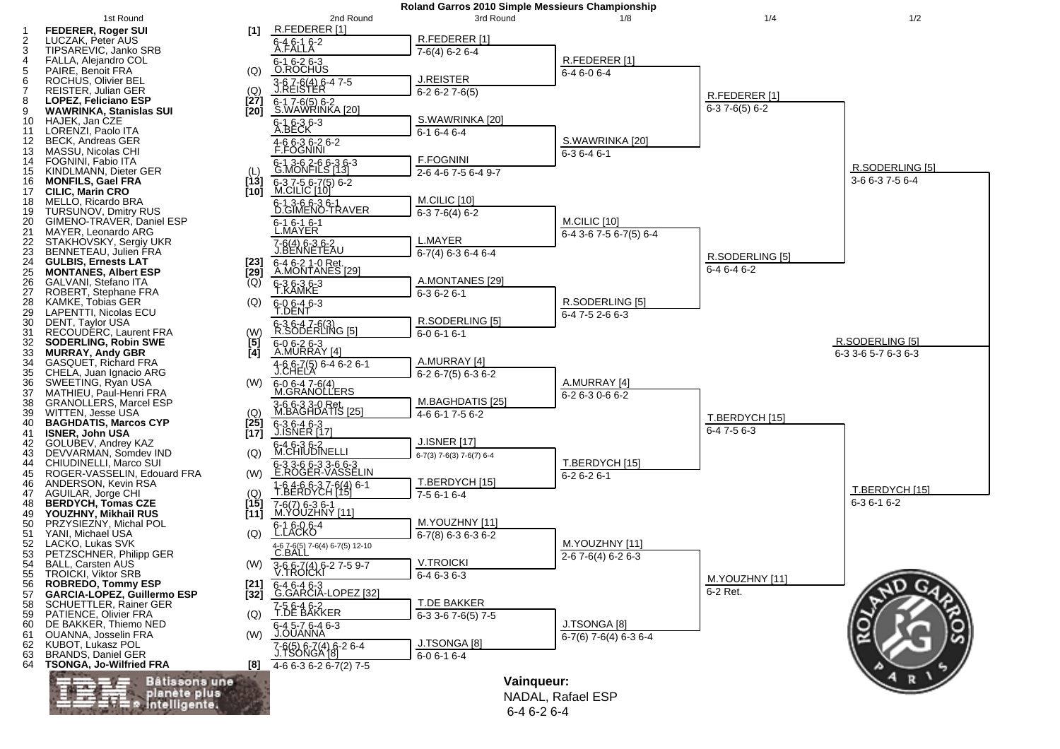

 <sup>6-4 6-2 6-4</sup>